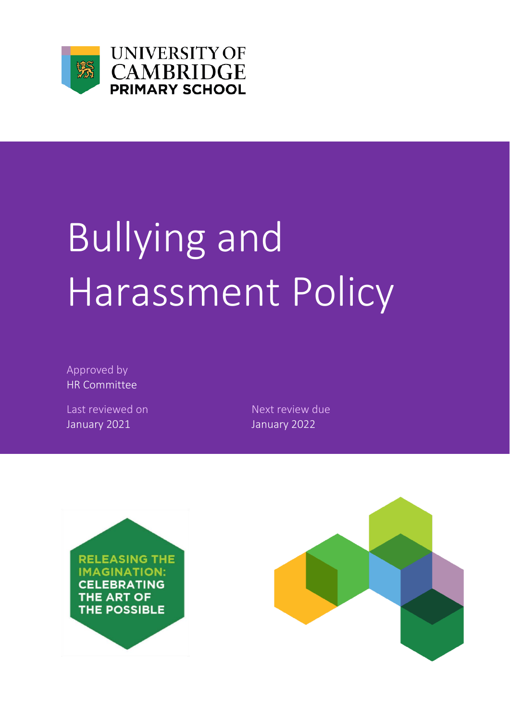

**UNIVERSITY OF CAMBRIDGE PRIMARY SCHOOL** 

# Bullying and Harassment Policy

Approved by HR Committee

Last reviewed on Next review due January 2021 January 2022



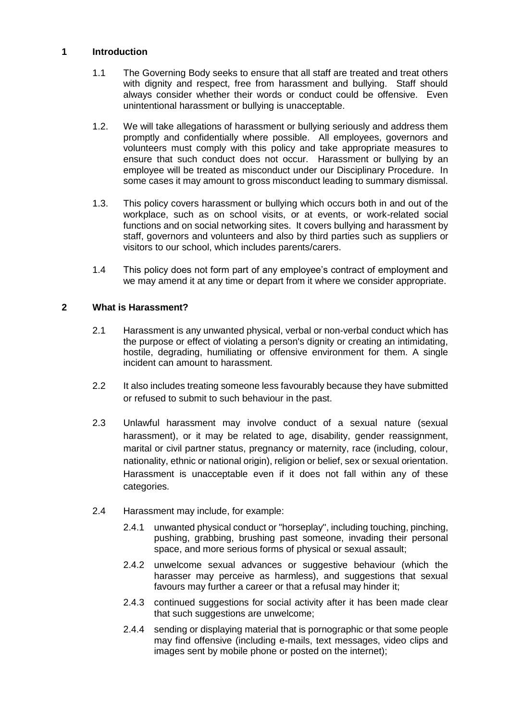# **1 Introduction**

- 1.1 The Governing Body seeks to ensure that all staff are treated and treat others with dignity and respect, free from harassment and bullying. Staff should always consider whether their words or conduct could be offensive. Even unintentional harassment or bullying is unacceptable.
- 1.2. We will take allegations of harassment or bullying seriously and address them promptly and confidentially where possible. All employees, governors and volunteers must comply with this policy and take appropriate measures to ensure that such conduct does not occur. Harassment or bullying by an employee will be treated as misconduct under our Disciplinary Procedure. In some cases it may amount to gross misconduct leading to summary dismissal.
- 1.3. This policy covers harassment or bullying which occurs both in and out of the workplace, such as on school visits, or at events, or work-related social functions and on social networking sites. It covers bullying and harassment by staff, governors and volunteers and also by third parties such as suppliers or visitors to our school, which includes parents/carers.
- 1.4 This policy does not form part of any employee's contract of employment and we may amend it at any time or depart from it where we consider appropriate.

# **2 What is Harassment?**

- 2.1 Harassment is any unwanted physical, verbal or non-verbal conduct which has the purpose or effect of violating a person's dignity or creating an intimidating, hostile, degrading, humiliating or offensive environment for them. A single incident can amount to harassment.
- 2.2 It also includes treating someone less favourably because they have submitted or refused to submit to such behaviour in the past.
- 2.3 Unlawful harassment may involve conduct of a sexual nature (sexual harassment), or it may be related to age, disability, gender reassignment, marital or civil partner status, pregnancy or maternity, race (including, colour, nationality, ethnic or national origin), religion or belief, sex or sexual orientation. Harassment is unacceptable even if it does not fall within any of these categories.
- 2.4 Harassment may include, for example:
	- 2.4.1 unwanted physical conduct or "horseplay", including touching, pinching, pushing, grabbing, brushing past someone, invading their personal space, and more serious forms of physical or sexual assault;
	- 2.4.2 unwelcome sexual advances or suggestive behaviour (which the harasser may perceive as harmless), and suggestions that sexual favours may further a career or that a refusal may hinder it;
	- 2.4.3 continued suggestions for social activity after it has been made clear that such suggestions are unwelcome;
	- 2.4.4 sending or displaying material that is pornographic or that some people may find offensive (including e-mails, text messages, video clips and images sent by mobile phone or posted on the internet);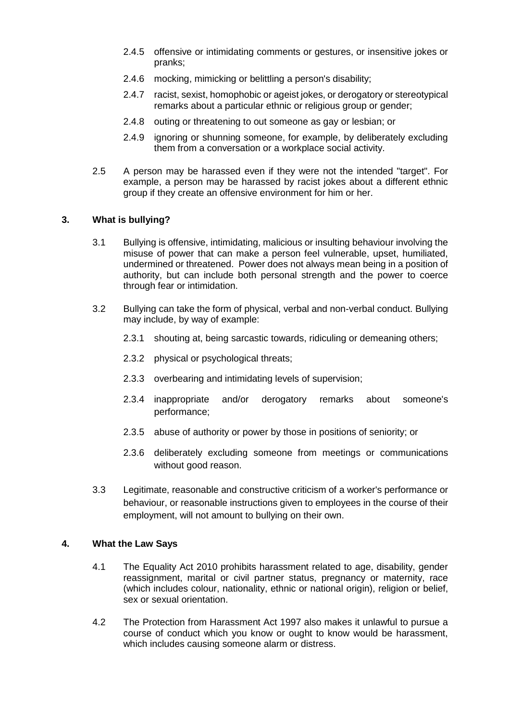- 2.4.5 offensive or intimidating comments or gestures, or insensitive jokes or pranks;
- 2.4.6 mocking, mimicking or belittling a person's disability;
- 2.4.7 racist, sexist, homophobic or ageist jokes, or derogatory or stereotypical remarks about a particular ethnic or religious group or gender;
- 2.4.8 outing or threatening to out someone as gay or lesbian; or
- 2.4.9 ignoring or shunning someone, for example, by deliberately excluding them from a conversation or a workplace social activity.
- 2.5 A person may be harassed even if they were not the intended "target". For example, a person may be harassed by racist jokes about a different ethnic group if they create an offensive environment for him or her.

#### **3. What is bullying?**

- 3.1 Bullying is offensive, intimidating, malicious or insulting behaviour involving the misuse of power that can make a person feel vulnerable, upset, humiliated, undermined or threatened. Power does not always mean being in a position of authority, but can include both personal strength and the power to coerce through fear or intimidation.
- 3.2 Bullying can take the form of physical, verbal and non-verbal conduct. Bullying may include, by way of example:
	- 2.3.1 shouting at, being sarcastic towards, ridiculing or demeaning others;
	- 2.3.2 physical or psychological threats;
	- 2.3.3 overbearing and intimidating levels of supervision;
	- 2.3.4 inappropriate and/or derogatory remarks about someone's performance;
	- 2.3.5 abuse of authority or power by those in positions of seniority; or
	- 2.3.6 deliberately excluding someone from meetings or communications without good reason.
- 3.3 Legitimate, reasonable and constructive criticism of a worker's performance or behaviour, or reasonable instructions given to employees in the course of their employment, will not amount to bullying on their own.

# **4. What the Law Says**

- 4.1 The Equality Act 2010 prohibits harassment related to age, disability, gender reassignment, marital or civil partner status, pregnancy or maternity, race (which includes colour, nationality, ethnic or national origin), religion or belief, sex or sexual orientation.
- 4.2 The Protection from Harassment Act 1997 also makes it unlawful to pursue a course of conduct which you know or ought to know would be harassment, which includes causing someone alarm or distress.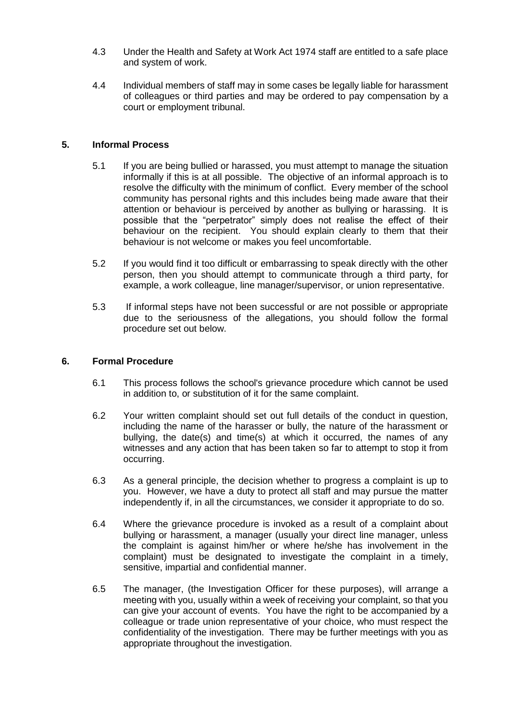- 4.3 Under the Health and Safety at Work Act 1974 staff are entitled to a safe place and system of work.
- 4.4 Individual members of staff may in some cases be legally liable for harassment of colleagues or third parties and may be ordered to pay compensation by a court or employment tribunal.

# **5. Informal Process**

- 5.1 If you are being bullied or harassed, you must attempt to manage the situation informally if this is at all possible. The objective of an informal approach is to resolve the difficulty with the minimum of conflict. Every member of the school community has personal rights and this includes being made aware that their attention or behaviour is perceived by another as bullying or harassing. It is possible that the "perpetrator" simply does not realise the effect of their behaviour on the recipient. You should explain clearly to them that their behaviour is not welcome or makes you feel uncomfortable.
- 5.2 If you would find it too difficult or embarrassing to speak directly with the other person, then you should attempt to communicate through a third party, for example, a work colleague, line manager/supervisor, or union representative.
- 5.3 If informal steps have not been successful or are not possible or appropriate due to the seriousness of the allegations, you should follow the formal procedure set out below.

#### **6. Formal Procedure**

- 6.1 This process follows the school's grievance procedure which cannot be used in addition to, or substitution of it for the same complaint.
- 6.2 Your written complaint should set out full details of the conduct in question, including the name of the harasser or bully, the nature of the harassment or bullying, the date(s) and time(s) at which it occurred, the names of any witnesses and any action that has been taken so far to attempt to stop it from occurring.
- 6.3 As a general principle, the decision whether to progress a complaint is up to you. However, we have a duty to protect all staff and may pursue the matter independently if, in all the circumstances, we consider it appropriate to do so.
- 6.4 Where the grievance procedure is invoked as a result of a complaint about bullying or harassment, a manager (usually your direct line manager, unless the complaint is against him/her or where he/she has involvement in the complaint) must be designated to investigate the complaint in a timely, sensitive, impartial and confidential manner.
- 6.5 The manager, (the Investigation Officer for these purposes), will arrange a meeting with you, usually within a week of receiving your complaint, so that you can give your account of events. You have the right to be accompanied by a colleague or trade union representative of your choice, who must respect the confidentiality of the investigation. There may be further meetings with you as appropriate throughout the investigation.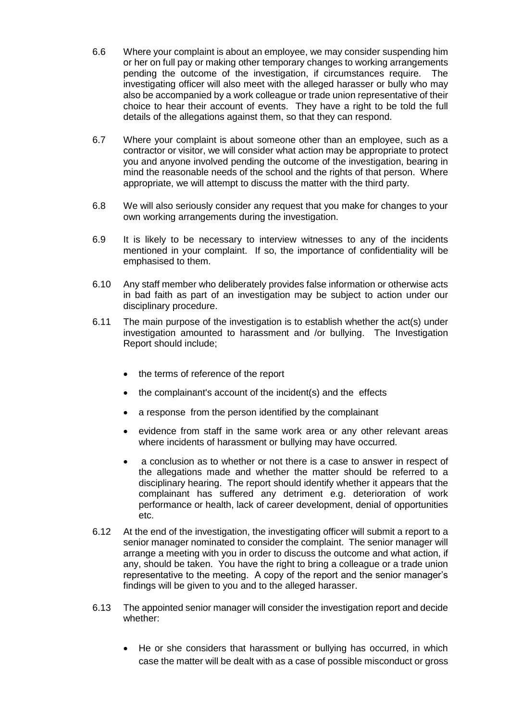- 6.6 Where your complaint is about an employee, we may consider suspending him or her on full pay or making other temporary changes to working arrangements pending the outcome of the investigation, if circumstances require. The investigating officer will also meet with the alleged harasser or bully who may also be accompanied by a work colleague or trade union representative of their choice to hear their account of events. They have a right to be told the full details of the allegations against them, so that they can respond.
- 6.7 Where your complaint is about someone other than an employee, such as a contractor or visitor, we will consider what action may be appropriate to protect you and anyone involved pending the outcome of the investigation, bearing in mind the reasonable needs of the school and the rights of that person. Where appropriate, we will attempt to discuss the matter with the third party.
- 6.8 We will also seriously consider any request that you make for changes to your own working arrangements during the investigation.
- 6.9 It is likely to be necessary to interview witnesses to any of the incidents mentioned in your complaint. If so, the importance of confidentiality will be emphasised to them.
- 6.10 Any staff member who deliberately provides false information or otherwise acts in bad faith as part of an investigation may be subject to action under our disciplinary procedure.
- 6.11 The main purpose of the investigation is to establish whether the act(s) under investigation amounted to harassment and /or bullying. The Investigation Report should include;
	- the terms of reference of the report
	- the complainant's account of the incident(s) and the effects
	- a response from the person identified by the complainant
	- evidence from staff in the same work area or any other relevant areas where incidents of harassment or bullying may have occurred.
	- a conclusion as to whether or not there is a case to answer in respect of the allegations made and whether the matter should be referred to a disciplinary hearing. The report should identify whether it appears that the complainant has suffered any detriment e.g. deterioration of work performance or health, lack of career development, denial of opportunities etc.
- 6.12 At the end of the investigation, the investigating officer will submit a report to a senior manager nominated to consider the complaint. The senior manager will arrange a meeting with you in order to discuss the outcome and what action, if any, should be taken. You have the right to bring a colleague or a trade union representative to the meeting. A copy of the report and the senior manager's findings will be given to you and to the alleged harasser.
- 6.13 The appointed senior manager will consider the investigation report and decide whether:
	- He or she considers that harassment or bullying has occurred, in which case the matter will be dealt with as a case of possible misconduct or gross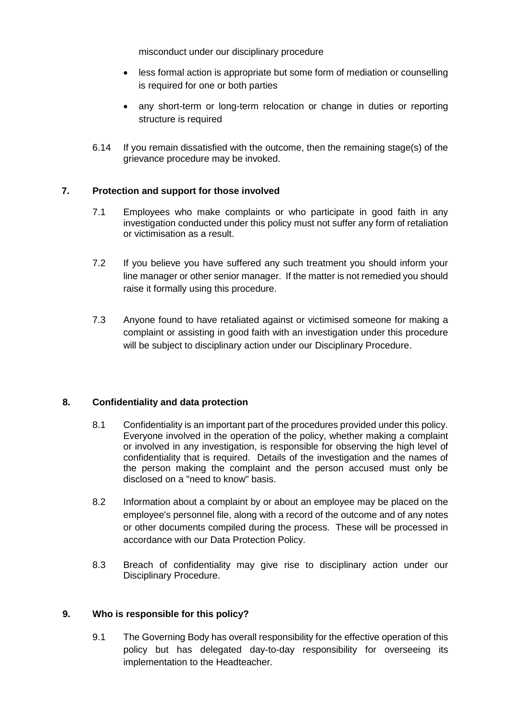misconduct under our disciplinary procedure

- less formal action is appropriate but some form of mediation or counselling is required for one or both parties
- any short-term or long-term relocation or change in duties or reporting structure is required
- 6.14 If you remain dissatisfied with the outcome, then the remaining stage(s) of the grievance procedure may be invoked.

# **7. Protection and support for those involved**

- 7.1 Employees who make complaints or who participate in good faith in any investigation conducted under this policy must not suffer any form of retaliation or victimisation as a result.
- 7.2 If you believe you have suffered any such treatment you should inform your line manager or other senior manager. If the matter is not remedied you should raise it formally using this procedure.
- 7.3 Anyone found to have retaliated against or victimised someone for making a complaint or assisting in good faith with an investigation under this procedure will be subject to disciplinary action under our Disciplinary Procedure.

# **8. Confidentiality and data protection**

- 8.1 Confidentiality is an important part of the procedures provided under this policy. Everyone involved in the operation of the policy, whether making a complaint or involved in any investigation, is responsible for observing the high level of confidentiality that is required. Details of the investigation and the names of the person making the complaint and the person accused must only be disclosed on a "need to know" basis.
- 8.2 Information about a complaint by or about an employee may be placed on the employee's personnel file, along with a record of the outcome and of any notes or other documents compiled during the process. These will be processed in accordance with our Data Protection Policy.
- 8.3 Breach of confidentiality may give rise to disciplinary action under our Disciplinary Procedure.

# **9. Who is responsible for this policy?**

9.1 The Governing Body has overall responsibility for the effective operation of this policy but has delegated day-to-day responsibility for overseeing its implementation to the Headteacher.